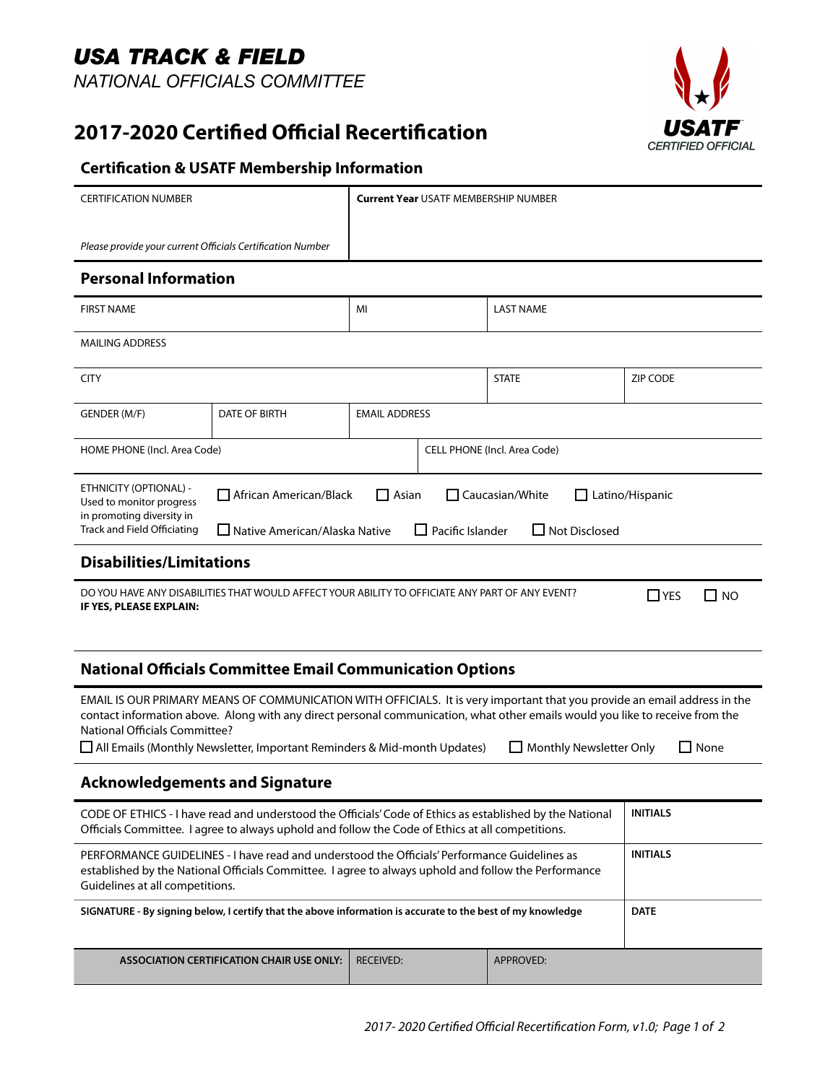# *USA TRACK & FIELD NATIONAL OFFICIALS COMMITTEE*

**2017-2020 Certifed Official Recertifcation** 



### **Form Certifcation & USATF Membership Information**

| <b>CERTIFICATION NUMBER</b>                                                                                                                                                                                                                                                                                                                                                                                              |                                                                                                                                                                           | <b>Current Year USATF MEMBERSHIP NUMBER</b> |              |                  |                 |
|--------------------------------------------------------------------------------------------------------------------------------------------------------------------------------------------------------------------------------------------------------------------------------------------------------------------------------------------------------------------------------------------------------------------------|---------------------------------------------------------------------------------------------------------------------------------------------------------------------------|---------------------------------------------|--------------|------------------|-----------------|
| Please provide your current Officials Certification Number                                                                                                                                                                                                                                                                                                                                                               |                                                                                                                                                                           |                                             |              |                  |                 |
| <b>Personal Information</b>                                                                                                                                                                                                                                                                                                                                                                                              |                                                                                                                                                                           |                                             |              |                  |                 |
| <b>FIRST NAME</b>                                                                                                                                                                                                                                                                                                                                                                                                        |                                                                                                                                                                           | MI                                          |              | <b>LAST NAME</b> |                 |
| <b>MAILING ADDRESS</b>                                                                                                                                                                                                                                                                                                                                                                                                   |                                                                                                                                                                           |                                             |              |                  |                 |
| <b>CITY</b>                                                                                                                                                                                                                                                                                                                                                                                                              |                                                                                                                                                                           |                                             | <b>STATE</b> | <b>ZIP CODE</b>  |                 |
| GENDER (M/F)                                                                                                                                                                                                                                                                                                                                                                                                             | DATE OF BIRTH                                                                                                                                                             | <b>EMAIL ADDRESS</b>                        |              |                  |                 |
| HOME PHONE (Incl. Area Code)                                                                                                                                                                                                                                                                                                                                                                                             |                                                                                                                                                                           | CELL PHONE (Incl. Area Code)                |              |                  |                 |
| ETHNICITY (OPTIONAL) -<br>Used to monitor progress<br>in promoting diversity in<br>Track and Field Officiating                                                                                                                                                                                                                                                                                                           | African American/Black<br>$\Box$ Asian<br>$\Box$ Caucasian/White<br>Latino/Hispanic<br>Pacific Islander<br>$\Box$ Not Disclosed<br>□ Native American/Alaska Native<br>I I |                                             |              |                  |                 |
| <b>Disabilities/Limitations</b>                                                                                                                                                                                                                                                                                                                                                                                          |                                                                                                                                                                           |                                             |              |                  |                 |
| DO YOU HAVE ANY DISABILITIES THAT WOULD AFFECT YOUR ABILITY TO OFFICIATE ANY PART OF ANY EVENT?<br>$\Box$ YES<br>$\square$ NO<br>IF YES, PLEASE EXPLAIN:                                                                                                                                                                                                                                                                 |                                                                                                                                                                           |                                             |              |                  |                 |
| <b>National Officials Committee Email Communication Options</b>                                                                                                                                                                                                                                                                                                                                                          |                                                                                                                                                                           |                                             |              |                  |                 |
| EMAIL IS OUR PRIMARY MEANS OF COMMUNICATION WITH OFFICIALS. It is very important that you provide an email address in the<br>contact information above. Along with any direct personal communication, what other emails would you like to receive from the<br>National Officials Committee?<br>$\Box$ Monthly Newsletter Only<br>$\Box$ None<br>All Emails (Monthly Newsletter, Important Reminders & Mid-month Updates) |                                                                                                                                                                           |                                             |              |                  |                 |
| <b>Acknowledgements and Signature</b>                                                                                                                                                                                                                                                                                                                                                                                    |                                                                                                                                                                           |                                             |              |                  |                 |
| CODE OF ETHICS - I have read and understood the Officials' Code of Ethics as established by the National<br>Officials Committee. I agree to always uphold and follow the Code of Ethics at all competitions.                                                                                                                                                                                                             |                                                                                                                                                                           |                                             |              |                  | <b>INITIALS</b> |
| PERFORMANCE GUIDELINES - I have read and understood the Officials' Performance Guidelines as<br>established by the National Officials Committee. I agree to always uphold and follow the Performance<br>Guidelines at all competitions.                                                                                                                                                                                  |                                                                                                                                                                           |                                             |              |                  | <b>INITIALS</b> |
| SIGNATURE - By signing below, I certify that the above information is accurate to the best of my knowledge                                                                                                                                                                                                                                                                                                               |                                                                                                                                                                           |                                             |              |                  | <b>DATE</b>     |

**ASSOCIATION CERTIFICATION CHAIR USE ONLY:** RECEIVED: APPROVED: